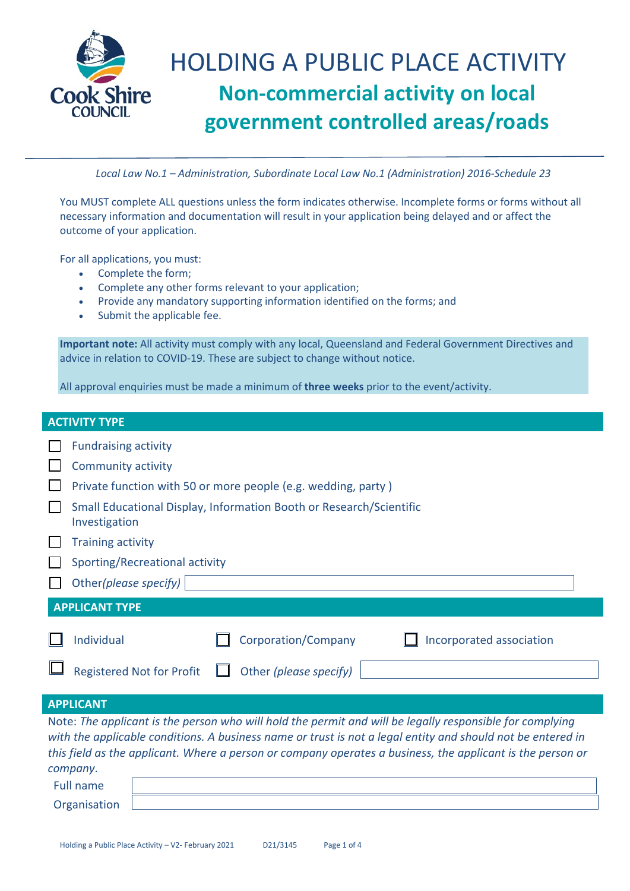

*Local Law No.1 – Administration, Subordinate Local Law No.1 (Administration) 2016-Schedule 23*

You MUST complete ALL questions unless the form indicates otherwise. Incomplete forms or forms without all necessary information and documentation will result in your application being delayed and or affect the outcome of your application.

For all applications, you must:

- Complete the form;
- Complete any other forms relevant to your application;
- Provide any mandatory supporting information identified on the forms; and
- Submit the applicable fee.

**Important note:** All activity must comply with any local, Queensland and Federal Government Directives and advice in relation to COVID-19. These are subject to change without notice.

All approval enquiries must be made a minimum of **three weeks** prior to the event/activity.

| <b>ACTIVITY TYPE</b> |                                                                                                                                                                                                                                                                                                                                                   |  |  |
|----------------------|---------------------------------------------------------------------------------------------------------------------------------------------------------------------------------------------------------------------------------------------------------------------------------------------------------------------------------------------------|--|--|
|                      | <b>Fundraising activity</b>                                                                                                                                                                                                                                                                                                                       |  |  |
|                      | <b>Community activity</b>                                                                                                                                                                                                                                                                                                                         |  |  |
|                      | Private function with 50 or more people (e.g. wedding, party)                                                                                                                                                                                                                                                                                     |  |  |
|                      | Small Educational Display, Information Booth or Research/Scientific<br>Investigation                                                                                                                                                                                                                                                              |  |  |
|                      | <b>Training activity</b>                                                                                                                                                                                                                                                                                                                          |  |  |
|                      | Sporting/Recreational activity                                                                                                                                                                                                                                                                                                                    |  |  |
|                      | Other(please specify)                                                                                                                                                                                                                                                                                                                             |  |  |
|                      | <b>APPLICANT TYPE</b>                                                                                                                                                                                                                                                                                                                             |  |  |
|                      | Individual<br>Corporation/Company<br>Incorporated association                                                                                                                                                                                                                                                                                     |  |  |
|                      | <b>Registered Not for Profit</b><br>Other (please specify)                                                                                                                                                                                                                                                                                        |  |  |
|                      | <b>APPLICANT</b>                                                                                                                                                                                                                                                                                                                                  |  |  |
|                      | Note: The applicant is the person who will hold the permit and will be legally responsible for complying<br>with the applicable conditions. A business name or trust is not a legal entity and should not be entered in<br>this field as the applicant. Where a person or company operates a business, the applicant is the person or<br>company. |  |  |
|                      | <b>Full name</b>                                                                                                                                                                                                                                                                                                                                  |  |  |
|                      | Organisation                                                                                                                                                                                                                                                                                                                                      |  |  |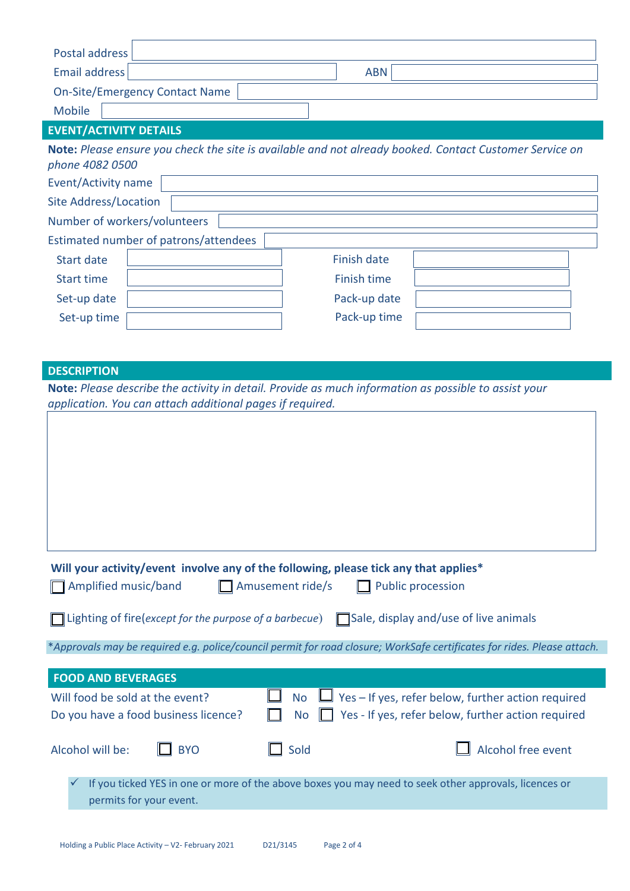| <b>Postal address</b>                                                                                                                                             |                                                                                                         |  |
|-------------------------------------------------------------------------------------------------------------------------------------------------------------------|---------------------------------------------------------------------------------------------------------|--|
| <b>Email address</b>                                                                                                                                              | <b>ABN</b>                                                                                              |  |
| <b>On-Site/Emergency Contact Name</b>                                                                                                                             |                                                                                                         |  |
| <b>Mobile</b>                                                                                                                                                     |                                                                                                         |  |
| <b>EVENT/ACTIVITY DETAILS</b>                                                                                                                                     |                                                                                                         |  |
| phone 4082 0500                                                                                                                                                   | Note: Please ensure you check the site is available and not already booked. Contact Customer Service on |  |
| Event/Activity name                                                                                                                                               |                                                                                                         |  |
| <b>Site Address/Location</b>                                                                                                                                      |                                                                                                         |  |
| Number of workers/volunteers                                                                                                                                      |                                                                                                         |  |
| Estimated number of patrons/attendees                                                                                                                             |                                                                                                         |  |
| <b>Start date</b>                                                                                                                                                 | <b>Finish date</b>                                                                                      |  |
| <b>Start time</b>                                                                                                                                                 | <b>Finish time</b>                                                                                      |  |
| Set-up date                                                                                                                                                       | Pack-up date                                                                                            |  |
| Set-up time                                                                                                                                                       | Pack-up time                                                                                            |  |
|                                                                                                                                                                   |                                                                                                         |  |
|                                                                                                                                                                   |                                                                                                         |  |
| <b>DESCRIPTION</b>                                                                                                                                                |                                                                                                         |  |
| Note: Please describe the activity in detail. Provide as much information as possible to assist your<br>application. You can attach additional pages if required. |                                                                                                         |  |
|                                                                                                                                                                   |                                                                                                         |  |
|                                                                                                                                                                   |                                                                                                         |  |
|                                                                                                                                                                   |                                                                                                         |  |

| Will your activity/event involve any of the following, please tick any that applies* |                         |                          |
|--------------------------------------------------------------------------------------|-------------------------|--------------------------|
| Amplified music/band                                                                 | $\Box$ Amusement ride/s | $\Box$ Public procession |

| $\Box$ Lighting of fire(except for the purpose of a barbecue) $\Box$ Sale, display and/use of live animals |  |
|------------------------------------------------------------------------------------------------------------|--|
|------------------------------------------------------------------------------------------------------------|--|

\**Approvals may be required e.g. police/council permit for road closure; WorkSafe certificates for rides. Please attach.*

| <b>FOOD AND BEVERAGES</b>                                               |                                                                                                                                     |                           |
|-------------------------------------------------------------------------|-------------------------------------------------------------------------------------------------------------------------------------|---------------------------|
| Will food be sold at the event?<br>Do you have a food business licence? | $\Box$ No $\Box$ Yes – If yes, refer below, further action required<br>No $\Box$ Yes - If yes, refer below, further action required |                           |
| $\Box$ BYO<br>Alcohol will be:                                          | $\Box$ Sold                                                                                                                         | $\Box$ Alcohol free event |
| permits for your event.                                                 | If you ticked YES in one or more of the above boxes you may need to seek other approvals, licences or                               |                           |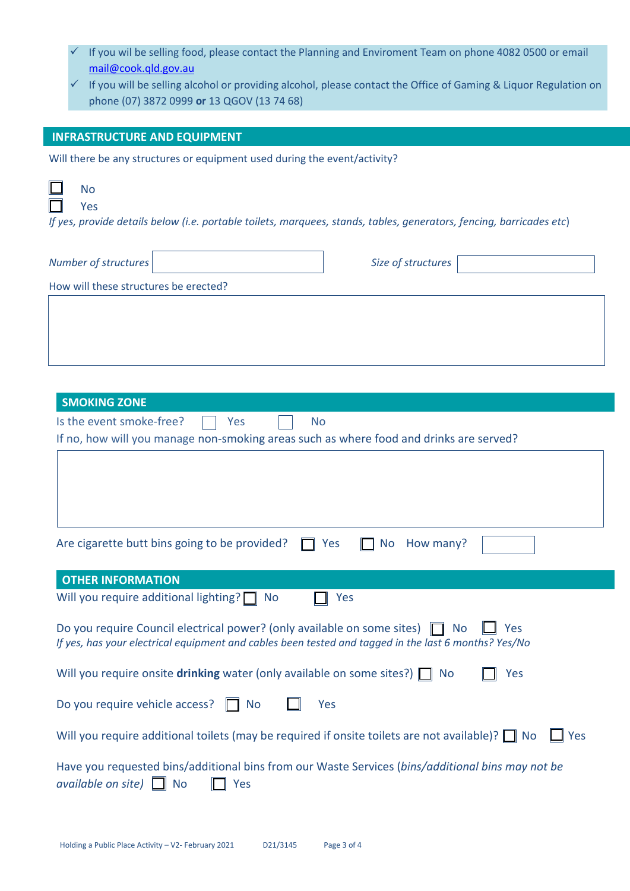| If you wil be selling food, please contact the Planning and Enviroment Team on phone 4082 0500 or email<br>mail@cook.qld.gov.au<br>$\checkmark$ If you will be selling alcohol or providing alcohol, please contact the Office of Gaming & Liquor Regulation on<br>phone (07) 3872 0999 or 13 QGOV (13 74 68) |
|---------------------------------------------------------------------------------------------------------------------------------------------------------------------------------------------------------------------------------------------------------------------------------------------------------------|
|                                                                                                                                                                                                                                                                                                               |
| <b>INFRASTRUCTURE AND EQUIPMENT</b>                                                                                                                                                                                                                                                                           |
| Will there be any structures or equipment used during the event/activity?                                                                                                                                                                                                                                     |
| <b>No</b><br>Yes<br>If yes, provide details below (i.e. portable toilets, marquees, stands, tables, generators, fencing, barricades etc)                                                                                                                                                                      |
| Size of structures<br>Number of structures                                                                                                                                                                                                                                                                    |
| How will these structures be erected?                                                                                                                                                                                                                                                                         |
| <b>SMOKING ZONE</b><br>Is the event smoke-free?<br><b>No</b>                                                                                                                                                                                                                                                  |
| Yes<br>If no, how will you manage non-smoking areas such as where food and drinks are served?                                                                                                                                                                                                                 |
| Are cigarette butt bins going to be provided?<br><b>No</b><br>How many?<br>Yes                                                                                                                                                                                                                                |
|                                                                                                                                                                                                                                                                                                               |
| <b>OTHER INFORMATION</b><br>Will you require additional lighting? $\Box$<br>Yes<br><b>No</b>                                                                                                                                                                                                                  |
| Do you require Council electrical power? (only available on some sites)<br>Yes<br><b>No</b><br>If yes, has your electrical equipment and cables been tested and tagged in the last 6 months? Yes/No                                                                                                           |
| Will you require onsite drinking water (only available on some sites?) $\Box$ No<br>Yes                                                                                                                                                                                                                       |
| Do you require vehicle access?<br>Yes<br><b>No</b>                                                                                                                                                                                                                                                            |
| Will you require additional toilets (may be required if onsite toilets are not available)? $\Box$ No<br>Yes                                                                                                                                                                                                   |
| Have you requested bins/additional bins from our Waste Services (bins/additional bins may not be                                                                                                                                                                                                              |

| available on site) $\Box$ No |  | $\Box$ Yes |
|------------------------------|--|------------|
|------------------------------|--|------------|

I